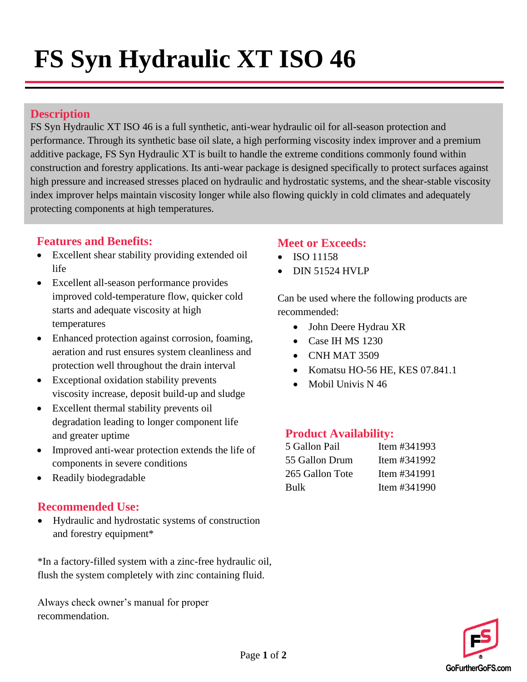# **FS Syn Hydraulic XT ISO 46**

#### **Description**

FS Syn Hydraulic XT ISO 46 is a full synthetic, anti-wear hydraulic oil for all-season protection and performance. Through its synthetic base oil slate, a high performing viscosity index improver and a premium additive package, FS Syn Hydraulic XT is built to handle the extreme conditions commonly found within construction and forestry applications. Its anti-wear package is designed specifically to protect surfaces against high pressure and increased stresses placed on hydraulic and hydrostatic systems, and the shear-stable viscosity index improver helps maintain viscosity longer while also flowing quickly in cold climates and adequately protecting components at high temperatures.

#### **Features and Benefits:**

- Excellent shear stability providing extended oil life
- Excellent all-season performance provides improved cold-temperature flow, quicker cold starts and adequate viscosity at high temperatures
- Enhanced protection against corrosion, foaming, aeration and rust ensures system cleanliness and protection well throughout the drain interval
- Exceptional oxidation stability prevents viscosity increase, deposit build-up and sludge
- Excellent thermal stability prevents oil degradation leading to longer component life and greater uptime
- Improved anti-wear protection extends the life of components in severe conditions
- Readily biodegradable

#### **Recommended Use:**

• Hydraulic and hydrostatic systems of construction and forestry equipment\*

\*In a factory-filled system with a zinc-free hydraulic oil, flush the system completely with zinc containing fluid.

Always check owner's manual for proper recommendation.

### **Meet or Exceeds:**

- ISO 11158
- DIN 51524 HVLP

Can be used where the following products are recommended:

- John Deere Hydrau XR
- Case IH MS 1230
- CNH MAT 3509
- Komatsu HO-56 HE, KES 07.841.1
- Mobil Univis N 46

#### **Product Availability:**

| 5 Gallon Pail   | Item #341993    |
|-----------------|-----------------|
| 55 Gallon Drum  | Item $\#341992$ |
| 265 Gallon Tote | Item $\#341991$ |
| Bulk            | Item $\#341990$ |